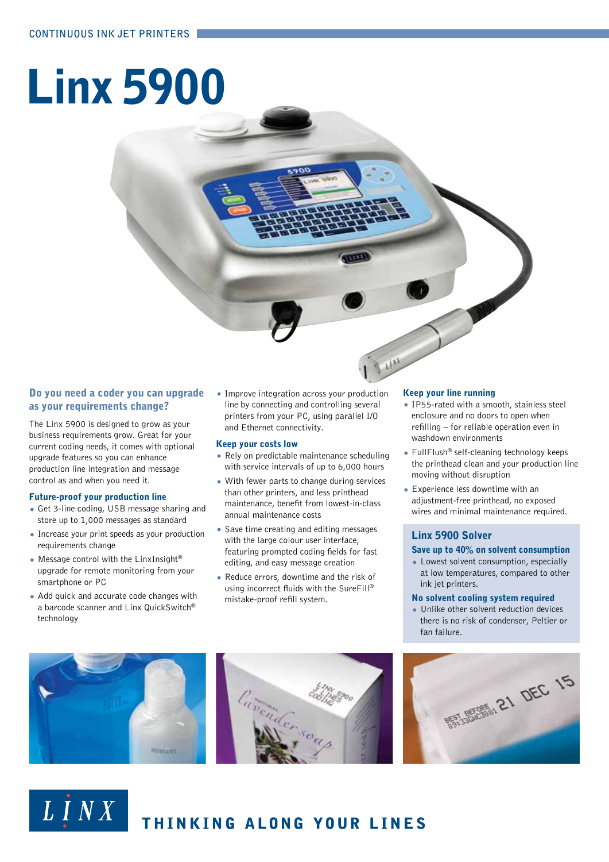# Linx 5900

### Do you need a coder you can upgrade as your requirements change?

The Linx 5900 is designed to grow as your business requirements grow. Great for your current coding needs, it comes with optional upgrade features so you can enhance production line integration and message control as and when you need it.

### Future-proof your production line

- Get 3-line coding, USB message sharing and store up to 1,000 messages as standard
- Increase your print speeds as your production requirements change
- Message control with the LinxInsight® upgrade for remote monitoring from your smartphone or PC
- Add quick and accurate code changes with a barcode scanner and Linx QuickSwitch® technology

 $L$   $\overline{I}$   $N X$ 

• Improve integration across your production line by connecting and controlling several printers from your PC, using parallel I/O and Ethernet connectivity.

### Keep your costs low

- Rely on predictable maintenance scheduling with service intervals of up to 6,000 hours
- With fewer parts to change during services than other printers, and less printhead maintenance, benefit from lowest-in-class annual maintenance costs
- Save time creating and editing messages with the large colour user interface, featuring prompted coding fields for fast editing, and easy message creation
- Reduce errors, downtime and the risk of using incorrect fluids with the SureFill® mistake-proof refill system.

### Keep your line running

- IP55-rated with a smooth, stainless steel enclosure and no doors to open when refilling – for reliable operation even in washdown environments
- FullFlush® self-cleaning technology keeps the printhead clean and your production line moving without disruption
- Experience less downtime with an adjustment-free printhead, no exposed wires and minimal maintenance required.

### Linx 5900 Solver

### Save up to 40% on solvent consumption

• Lowest solvent consumption, especially at low temperatures, compared to other ink jet printers.

### No solvent cooling system required

• Unlike other solvent reduction devices there is no risk of condenser, Peltier or fan failure.



THINKING ALONG YOUR LINES